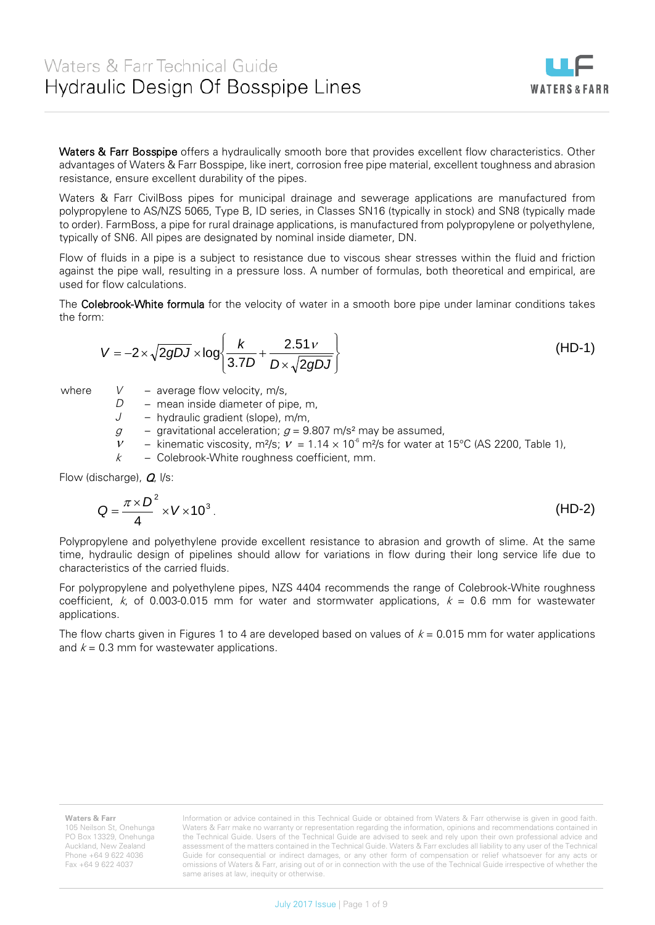same arises at law, inequity or otherwise.

Information or advice contained in this Technical Guide or obtained from Waters & Farr otherwise is given in good faith. Waters & Farr make no warranty or representation regarding the information, opinions and recommendations contained in the Technical Guide. Users of the Technical Guide are advised to seek and rely upon their own professional advice and assessment of the matters contained in the Technical Guide. Waters & Farr excludes all liability to any user of the Technical Guide for consequential or indirect damages, or any other form of compensation or relief whatsoever for any acts or omissions of Waters & Farr, arising out of or in connection with the use of the Technical Guide irrespective of whether the

Waters & Farr Bosspipe offers a hydraulically smooth bore that provides excellent flow characteristics. Other advantages of Waters & Farr Bosspipe, like inert, corrosion free pipe material, excellent toughness and abrasion resistance, ensure excellent durability of the pipes.

Waters & Farr CivilBoss pipes for municipal drainage and sewerage applications are manufactured from polypropylene to AS/NZS 5065, Type B, ID series, in Classes SN16 (typically in stock) and SN8 (typically made to order). FarmBoss, a pipe for rural drainage applications, is manufactured from polypropylene or polyethylene, typically of SN6. All pipes are designated by nominal inside diameter, DN.

Flow of fluids in a pipe is a subject to resistance due to viscous shear stresses within the fluid and friction against the pipe wall, resulting in a pressure loss. A number of formulas, both theoretical and empirical, are used for flow calculations.

The Colebrook-White formula for the velocity of water in a smooth bore pipe under laminar conditions takes the form:

$$
V = -2 \times \sqrt{2gDJ} \times \log \left\{ \frac{k}{3.7D} + \frac{2.51 \nu}{D \times \sqrt{2gDJ}} \right\}
$$
 (HD-1)

where *V* – average flow velocity, m/s,

*D* – mean inside diameter of pipe, m.

*J* – hydraulic gradient (slope), m/m,

 $g$  – gravitational acceleration;  $g = 9.807$  m/s<sup>2</sup> may be assumed,

 $v =$  kinematic viscosity, m<sup>2</sup>/s;  $v = 1.14 \times 10^6$  m<sup>2</sup>/s for water at 15°C (AS 2200, Table 1),

 $k$  – Colebrook-White roughness coefficient, mm.

Flow (discharge), **Q**,  $|$ /s:

2

$$
Q = \frac{\pi \times D^2}{4} \times V \times 10^3.
$$
 (HD-2)  
ypropylene and polyethylene provide excellent resistance to abrasion and growth of slime. At the same

Polypropylene and polyethylene provide excellent resistance to abrasion and growth of slime. At the same time, hydraulic design of pipelines should allow for variations in flow during their long service life due to characteristics of the carried fluids.

For polypropylene and polyethylene pipes, NZS 4404 recommends the range of Colebrook-White roughness coefficient, k, of 0.003-0.015 mm for water and stormwater applications,  $k = 0.6$  mm for wastewater applications.

The flow charts given in Figures 1 to 4 are developed based on values of  $k = 0.015$  mm for water applications and  $k = 0.3$  mm for wastewater applications.

**Waters & Farr**

105 Neilson St, Onehunga PO Box 13329, Onehunga Auckland, New Zealand Phone +64 9 622 4036 Fax +64 9 622 4037

**WATERS&FARR**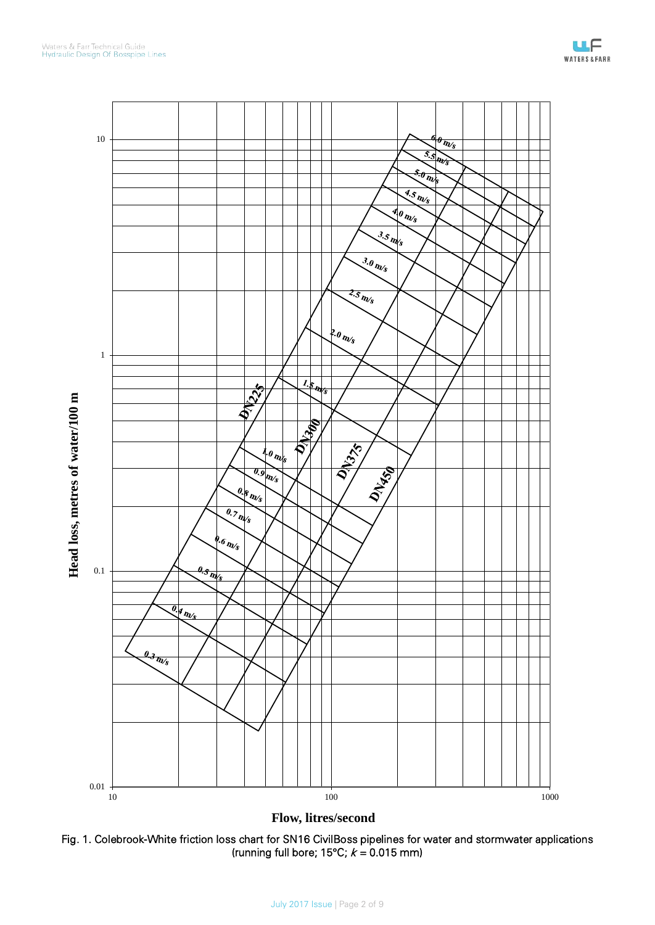

**Flow, litres/second**

Fig. 1. Colebrook-White friction loss chart for SN16 CivilBoss pipelines for water and stormwater applications (running full bore; 15°C;  $k = 0.015$  mm)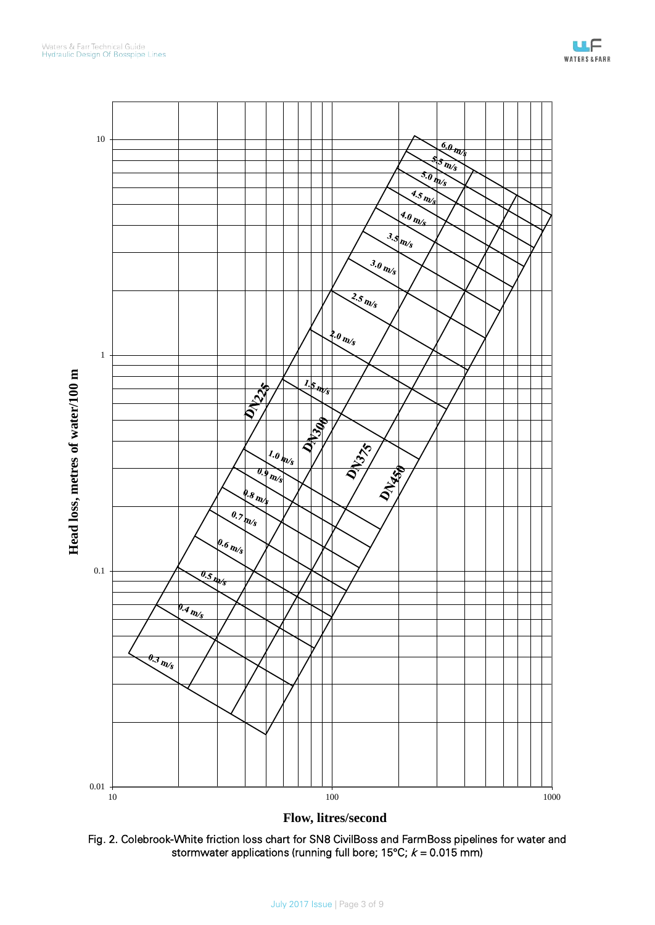



**Flow, litres/second**

Fig. 2. Colebrook-White friction loss chart for SN8 CivilBoss and FarmBoss pipelines for water and stormwater applications (running full bore; 15°C;  $k = 0.015$  mm)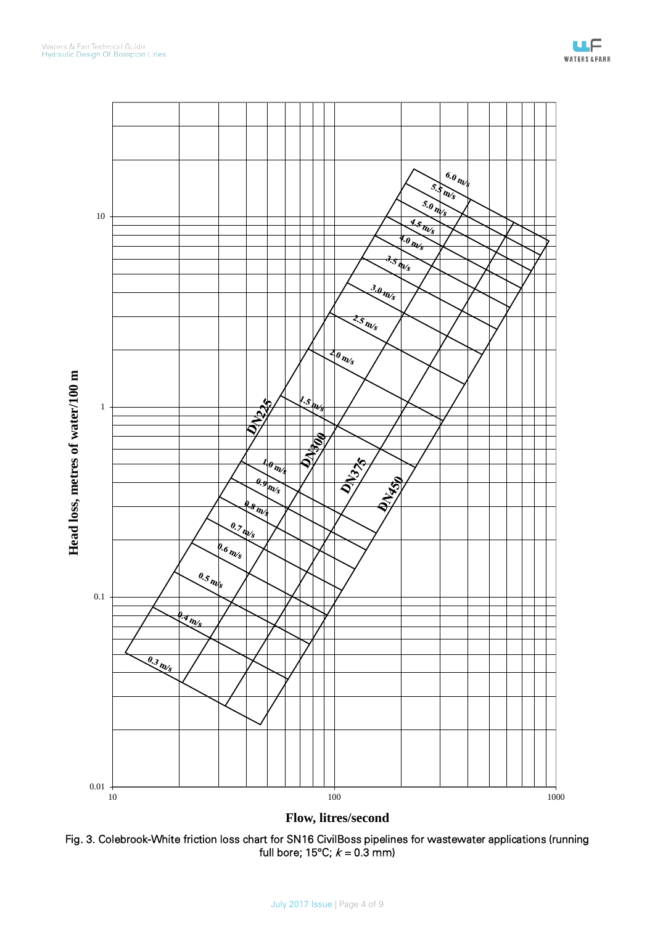

**Flow, litres/second**

Fig. 3. Colebrook-White friction loss chart for SN16 CivilBoss pipelines for wastewater applications (running full bore; 15°C;  $k = 0.3$  mm)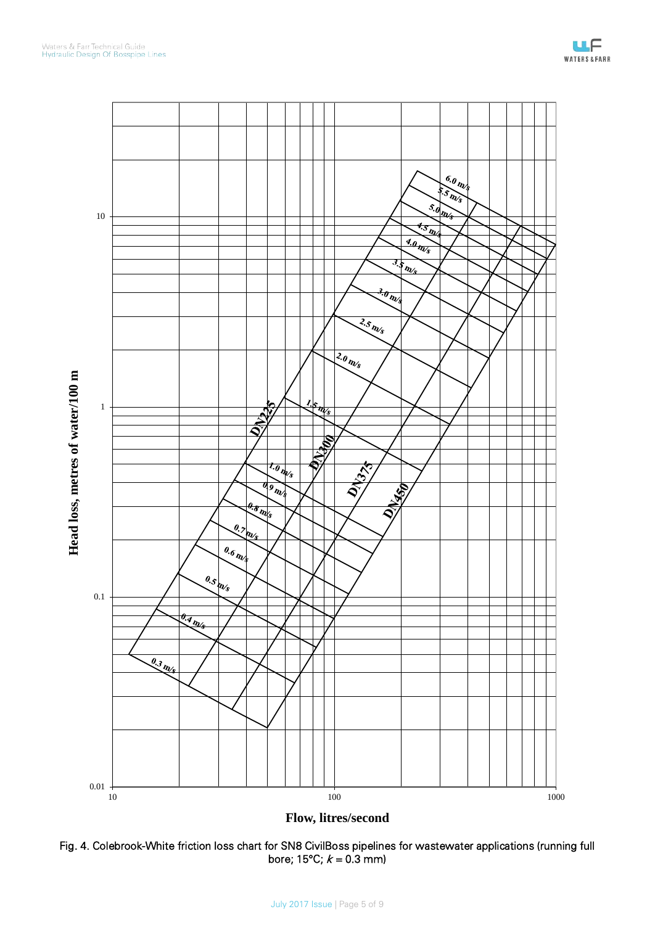

**Flow, litres/second**

Fig. 4. Colebrook-White friction loss chart for SN8 CivilBoss pipelines for wastewater applications (running full bore; 15°C;  $k = 0.3$  mm)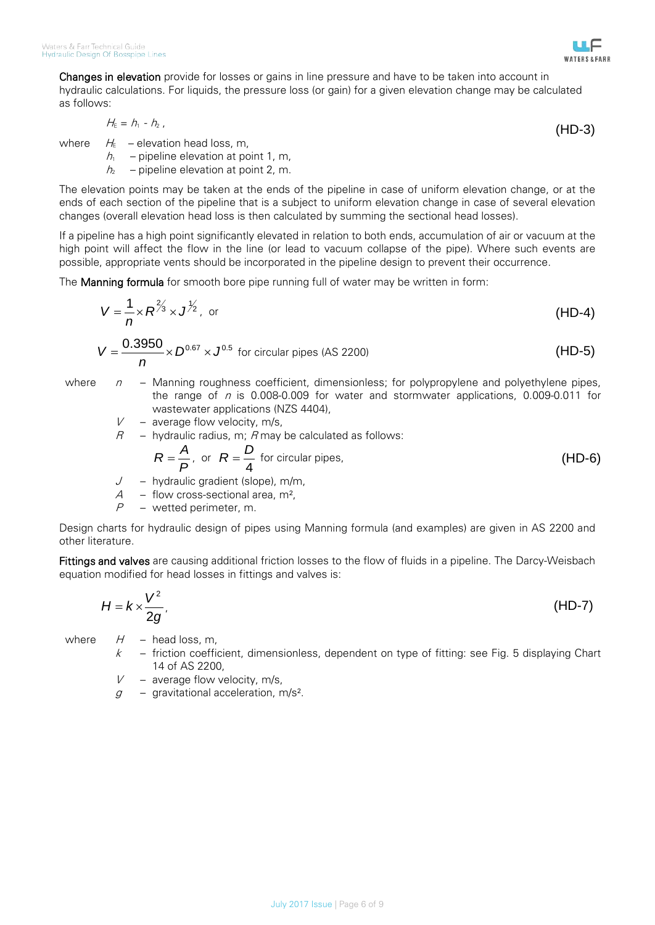

$$
H_{\epsilon} = h_1 - h_2 \tag{HD-3}
$$

**WATERS&FARR** 

where  $H_{E}$  – elevation head loss, m,

 $h_1$  – pipeline elevation at point 1, m,

 $h<sub>2</sub>$  – pipeline elevation at point 2, m.

The elevation points may be taken at the ends of the pipeline in case of uniform elevation change, or at the ends of each section of the pipeline that is a subject to uniform elevation change in case of several elevation changes (overall elevation head loss is then calculated by summing the sectional head losses).

If a pipeline has a high point significantly elevated in relation to both ends, accumulation of air or vacuum at the high point will affect the flow in the line (or lead to vacuum collapse of the pipe). Where such events are possible, appropriate vents should be incorporated in the pipeline design to prevent their occurrence.

The Manning formula for smooth bore pipe running full of water may be written in form:

$$
V = \frac{1}{n} \times R^{\frac{2}{3}} \times J^{\frac{1}{2}},
$$
 or (HD-4)

<sup>3950</sup> 0.67 0.5 0. *<sup>D</sup> <sup>J</sup> n V* = × × for circular pipes (AS 2200) (HD-5)

- where  $n -$  Manning roughness coefficient, dimensionless; for polypropylene and polyethylene pipes, the range of  $n$  is 0.008-0.009 for water and stormwater applications, 0.009-0.011 for wastewater applications (NZS 4404),
	- $V -$  average flow velocity, m/s,
	- $R$  hydraulic radius, m; R may be calculated as follows:

$$
R = \frac{A}{P}, \text{ or } R = \frac{D}{4} \text{ for circular pipes,}
$$
 (HD-6)

- J hydraulic gradient (slope), m/m,<br>A flow cross-sectional area m<sup>2</sup>
- $A -$  flow cross-sectional area, m<sup>2</sup>,<br> $P -$  wetted perimeter m
- wetted perimeter, m.

Design charts for hydraulic design of pipes using Manning formula (and examples) are given in AS 2200 and other literature.

Fittings and valves are causing additional friction losses to the flow of fluids in a pipeline. The Darcy-Weisbach equation modified for head losses in fittings and valves is:

$$
H = k \times \frac{V^2}{2g},
$$
 (HD-7)

- where  $H -$  head loss, m,
	- $k$  friction coefficient, dimensionless, dependent on type of fitting: see Fig. 5 displaying Chart 14 of AS 2200,
	- $V -$  average flow velocity, m/s,
	- $g -$  gravitational acceleration, m/s<sup>2</sup>.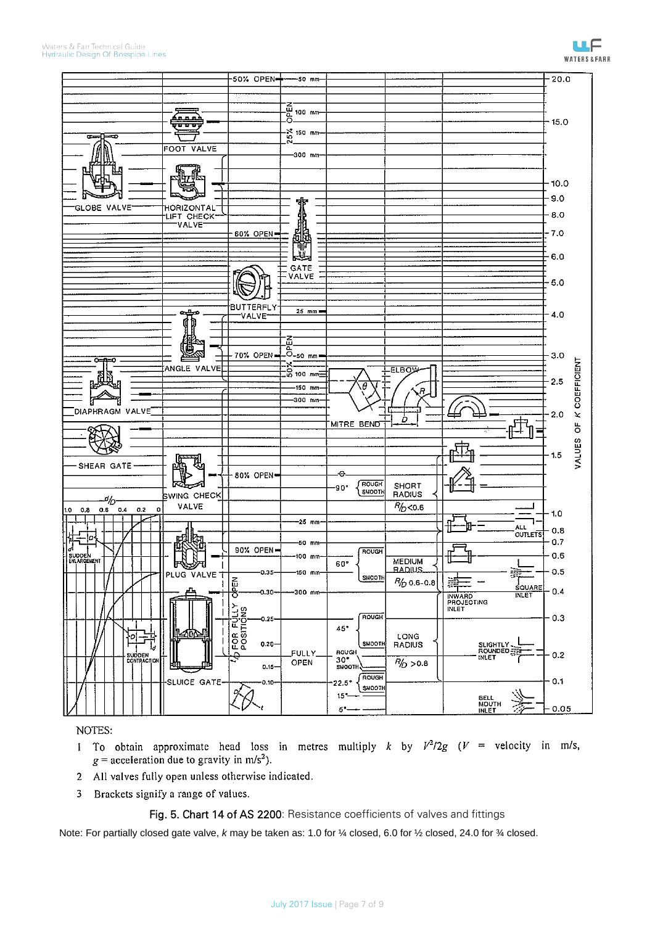

ШF

NOTES:

- 1 To obtain approximate head loss in metres multiply k by  $V^2/2g$  ( $V =$  velocity in m/s,  $g$  = acceleration due to gravity in m/s<sup>2</sup>).
- All valves fully open unless otherwise indicated.  $\overline{2}$
- $\overline{3}$ Brackets signify a range of values.

## Fig. 5. Chart 14 of AS 2200: Resistance coefficients of valves and fittings

Note: For partially closed gate valve, *k* may be taken as: 1.0 for ¼ closed, 6.0 for ½ closed, 24.0 for ¾ closed.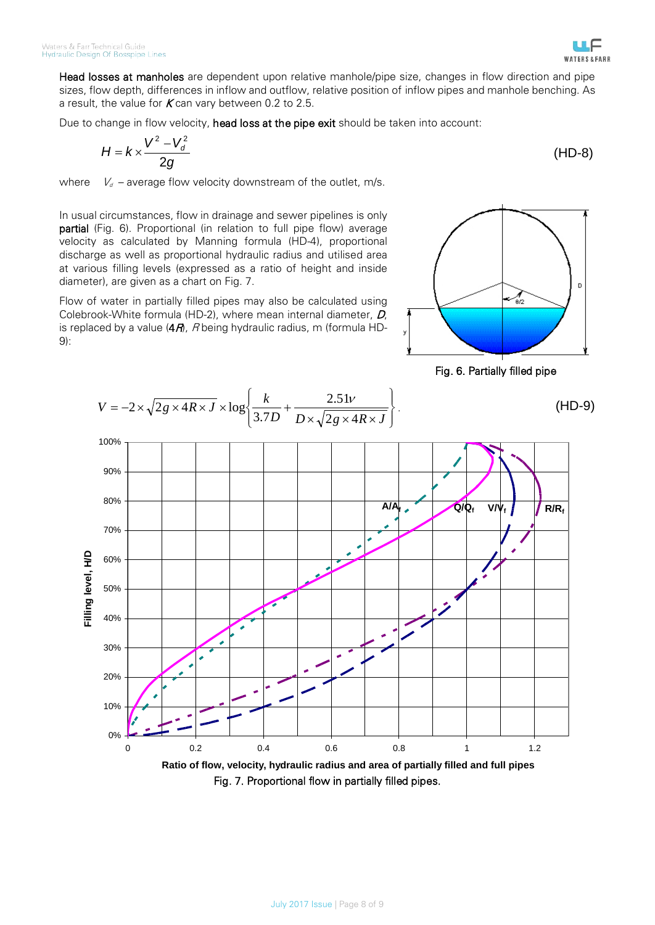Head losses at manholes are dependent upon relative manhole/pipe size, changes in flow direction and pipe sizes, flow depth, differences in inflow and outflow, relative position of inflow pipes and manhole benching. As a result, the value for  $K$  can vary between 0.2 to 2.5.

Due to change in flow velocity, head loss at the pipe exit should be taken into account:

$$
H = k \times \frac{V^2 - V_d^2}{2g} \tag{HD-8}
$$

where  $V_d$  – average flow velocity downstream of the outlet, m/s.

In usual circumstances, flow in drainage and sewer pipelines is only partial (Fig. 6). Proportional (in relation to full pipe flow) average velocity as calculated by Manning formula (HD-4), proportional discharge as well as proportional hydraulic radius and utilised area at various filling levels (expressed as a ratio of height and inside diameter), are given as a chart on Fig. 7.

Flow of water in partially filled pipes may also be calculated using Colebrook-White formula (HD-2), where mean internal diameter, D, is replaced by a value  $(4A)$ , R being hydraulic radius, m (formula HD-9):



Fig. 6. Partially filled pipe



Fig. 7. Proportional flow in partially filled pipes.